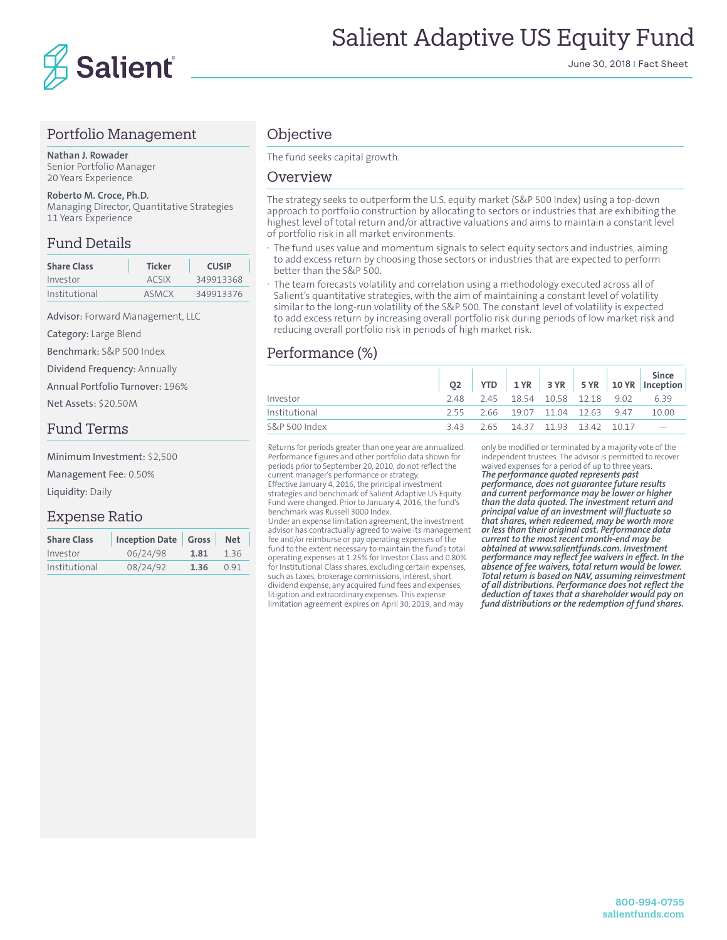

## Portfolio Management

**Nathan J. Rowader** Senior Portfolio Manager 20 Years Experience

#### **Roberto M. Croce, Ph.D.**

Managing Director, Quantitative Strategies 11 Years Experience

## Fund Details

| <b>Share Class</b> | <b>Ticker</b> | <b>CUSIP</b> |  |  |  |
|--------------------|---------------|--------------|--|--|--|
| Investor           | ACSIX         | 349913368    |  |  |  |
| Institutional      | ASMCX         | 349913376    |  |  |  |

Advisor: Forward Management, LLC

Category: Large Blend

Benchmark: S&P 500 Index

Dividend Frequency: Annually

Annual Portfolio Turnover: 196%

Net Assets: \$20.50M

## Fund Terms

Minimum Investment: \$2,500

Management Fee: 0.50%

Liquidity: Daily

## Expense Ratio

| <b>Share Class</b> | Inception Date Gross |      | <b>Net</b> |
|--------------------|----------------------|------|------------|
| Investor           | 06/24/98             | 1.81 | 1.36       |
| Institutional      | 08/24/92             | 1.36 | 0.91       |

## **Objective**

The fund seeks capital growth.

#### Overview

The strategy seeks to outperform the U.S. equity market (S&P 500 Index) using a top-down approach to portfolio construction by allocating to sectors or industries that are exhibiting the highest level of total return and/or attractive valuations and aims to maintain a constant level of portfolio risk in all market environments.

- **·** The fund uses value and momentum signals to select equity sectors and industries, aiming to add excess return by choosing those sectors or industries that are expected to perform better than the S&P 500.
- **·** The team forecasts volatility and correlation using a methodology executed across all of Salient's quantitative strategies, with the aim of maintaining a constant level of volatility similar to the long-run volatility of the S&P 500. The constant level of volatility is expected to add excess return by increasing overall portfolio risk during periods of low market risk and reducing overall portfolio risk in periods of high market risk.

## Performance (%)

|               |  |                                       |  | Q2 YTD 1YR 3YR 5YR 10YR Inception |
|---------------|--|---------------------------------------|--|-----------------------------------|
| Investor      |  | 2.48 2.45 18.54 10.58 12.18 9.02 6.39 |  |                                   |
| Institutional |  | 2.55 2.66 19.07 11.04 12.63 9.47      |  | 10.00                             |
| S&P 500 Index |  | 343 265 1437 1193 1342 1017           |  |                                   |

Returns for periods greater than one year are annualized. Performance figures and other portfolio data shown for periods prior to September 20, 2010, do not reflect the current manager's performance or strategy. Effective January 4, 2016, the principal investment strategies and benchmark of Salient Adaptive US Equity Fund were changed. Prior to January 4, 2016, the fund's benchmark was Russell 3000 Index.

Under an expense limitation agreement, the investment advisor has contractually agreed to waive its management fee and/or reimburse or pay operating expenses of the fund to the extent necessary to maintain the fund's total operating expenses at 1.25% for Investor Class and 0.80% for Institutional Class shares, excluding certain expenses, such as taxes, brokerage commissions, interest, short dividend expense, any acquired fund fees and expenses, litigation and extraordinary expenses. This expense limitation agreement expires on April 30, 2019, and may

only be modified or terminated by a majority vote of the independent trustees. The advisor is permitted to recover waived expenses for a period of up to three years. *The performance quoted represents past performance, does not guarantee future results and current performance may be lower or higher than the data quoted. The investment return and principal value of an investment will fluctuate so that shares, when redeemed, may be worth more or less than their original cost. Performance data current to the most recent month-end may be obtained at www.salientfunds.com. Investment performance may reflect fee waivers in effect. In the absence of fee waivers, total return would be lower. Total return is based on NAV, assuming reinvestment of all distributions. Performance does not reflect the deduction of taxes that a shareholder would pay on fund distributions or the redemption of fund shares.*